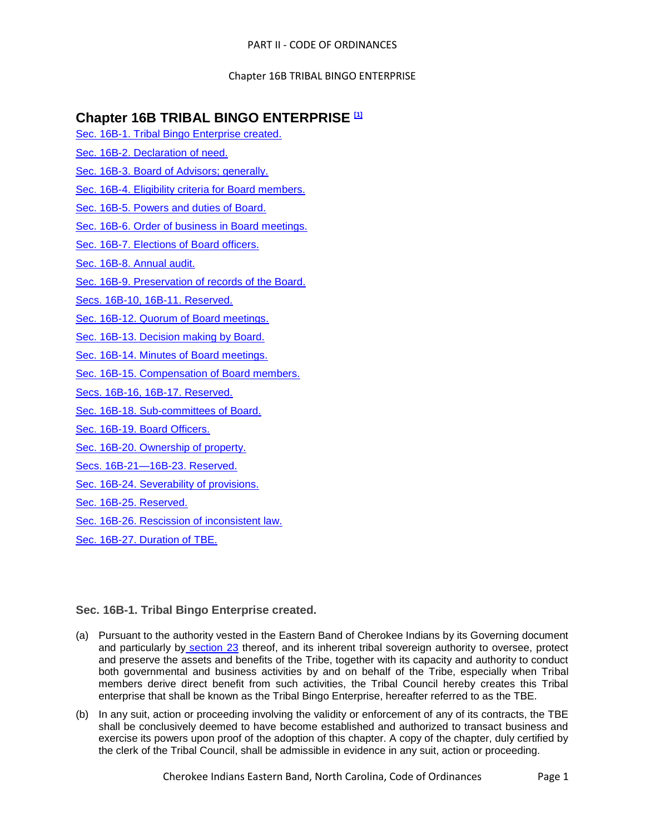# **Chapter 16B TRIBAL BINGO ENTERPRISE [1]**

- [Sec. 16B-1. Tribal Bingo Enterprise created.](#page-0-0)
- Sec. [16B-2. Declaration of need.](#page-1-0)
- [Sec. 16B-3. Board of Advisors; generally.](#page-1-1)
- [Sec. 16B-4. Eligibility criteria for Board members.](#page-1-2)
- [Sec. 16B-5. Powers and duties of Board.](#page-2-0)
- [Sec. 16B-6. Order of business in Board meetings.](#page-6-0)
- [Sec. 16B-7. Elections of Board officers.](#page-7-0)
- [Sec. 16B-8. Annual audit.](#page-7-1)
- [Sec. 16B-9. Preservation of records of the Board.](#page-7-2)
- [Secs. 16B-10, 16B-11. Reserved.](#page-7-3)
- [Sec. 16B-12. Quorum of Board meetings.](#page-7-4)
- [Sec. 16B-13. Decision making by Board.](#page-7-5)
- [Sec. 16B-14. Minutes of Board meetings.](#page-7-6)
- [Sec. 16B-15. Compensation of Board members.](#page-8-0)
- [Secs. 16B-16, 16B-17. Reserved.](#page-8-1)
- [Sec. 16B-18. Sub-committees of Board.](#page-8-2)
- [Sec. 16B-19. Board Officers.](#page-8-3)
- [Sec. 16B-20. Ownership of property.](#page-9-0)
- [Secs. 16B-21—16B-23. Reserved.](#page-9-1)
- [Sec. 16B-24. Severability of provisions.](#page-9-2)
- [Sec. 16B-25. Reserved.](#page-9-3)
- [Sec. 16B-26. Rescission of inconsistent law.](#page-9-4)
- [Sec. 16B-27. Duration of TBE.](#page-10-0)

# <span id="page-0-0"></span>**Sec. 16B-1. Tribal Bingo Enterprise created.**

- (a) Pursuant to the authority vested in the Eastern Band of Cherokee Indians by its Governing document and particularly by [section 23](../level3/PTIICOOR_CH15CRPR_APXATHCHRUCRPR.docx#PTIICOOR_CH15CRPR_APXATHCHRUCRPR_RULE_23SESE) thereof, and its inherent tribal sovereign authority to oversee, protect and preserve the assets and benefits of the Tribe, together with its capacity and authority to conduct both governmental and business activities by and on behalf of the Tribe, especially when Tribal members derive direct benefit from such activities, the Tribal Council hereby creates this Tribal enterprise that shall be known as the Tribal Bingo Enterprise, hereafter referred to as the TBE.
- (b) In any suit, action or proceeding involving the validity or enforcement of any of its contracts, the TBE shall be conclusively deemed to have become established and authorized to transact business and exercise its powers upon proof of the adoption of this chapter. A copy of the chapter, duly certified by the clerk of the Tribal Council, shall be admissible in evidence in any suit, action or proceeding.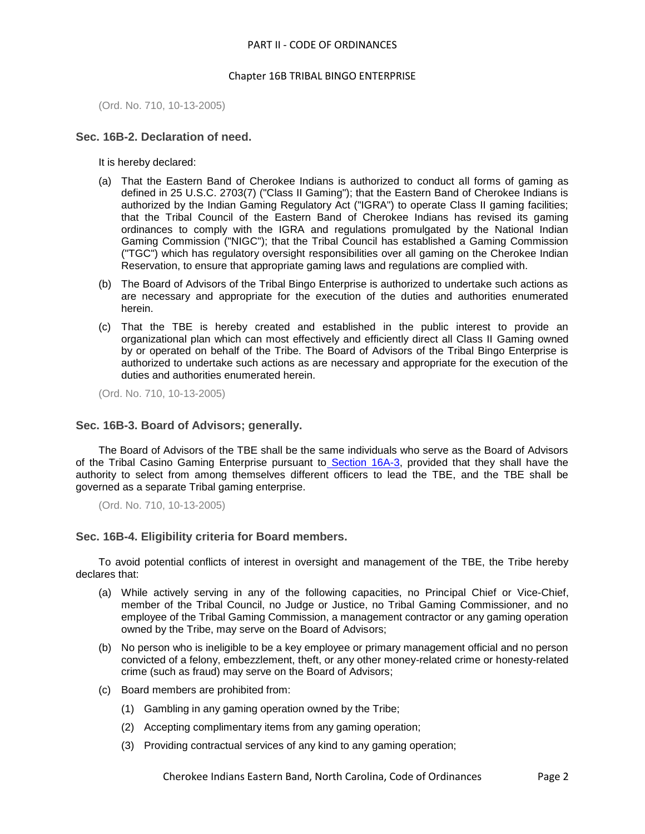(Ord. No. 710, 10-13-2005)

# <span id="page-1-0"></span>**Sec. 16B-2. Declaration of need.**

It is hereby declared:

- (a) That the Eastern Band of Cherokee Indians is authorized to conduct all forms of gaming as defined in 25 U.S.C. 2703(7) ("Class II Gaming"); that the Eastern Band of Cherokee Indians is authorized by the Indian Gaming Regulatory Act ("IGRA") to operate Class II gaming facilities; that the Tribal Council of the Eastern Band of Cherokee Indians has revised its gaming ordinances to comply with the IGRA and regulations promulgated by the National Indian Gaming Commission ("NIGC"); that the Tribal Council has established a Gaming Commission ("TGC") which has regulatory oversight responsibilities over all gaming on the Cherokee Indian Reservation, to ensure that appropriate gaming laws and regulations are complied with.
- (b) The Board of Advisors of the Tribal Bingo Enterprise is authorized to undertake such actions as are necessary and appropriate for the execution of the duties and authorities enumerated herein.
- (c) That the TBE is hereby created and established in the public interest to provide an organizational plan which can most effectively and efficiently direct all Class II Gaming owned by or operated on behalf of the Tribe. The Board of Advisors of the Tribal Bingo Enterprise is authorized to undertake such actions as are necessary and appropriate for the execution of the duties and authorities enumerated herein.

(Ord. No. 710, 10-13-2005)

## <span id="page-1-1"></span>**Sec. 16B-3. Board of Advisors; generally.**

The Board of Advisors of the TBE shall be the same individuals who serve as the Board of Advisors of the Tribal Casino Gaming Enterprise pursuant to [Section 16A-3,](../level2/PTIICOOR_CH16ATRCAGAEN.docx#PTIICOOR_CH16ATRCAGAEN_S16A-3BOADGE) provided that they shall have the authority to select from among themselves different officers to lead the TBE, and the TBE shall be governed as a separate Tribal gaming enterprise.

(Ord. No. 710, 10-13-2005)

## <span id="page-1-2"></span>**Sec. 16B-4. Eligibility criteria for Board members.**

To avoid potential conflicts of interest in oversight and management of the TBE, the Tribe hereby declares that:

- (a) While actively serving in any of the following capacities, no Principal Chief or Vice-Chief, member of the Tribal Council, no Judge or Justice, no Tribal Gaming Commissioner, and no employee of the Tribal Gaming Commission, a management contractor or any gaming operation owned by the Tribe, may serve on the Board of Advisors;
- (b) No person who is ineligible to be a key employee or primary management official and no person convicted of a felony, embezzlement, theft, or any other money-related crime or honesty-related crime (such as fraud) may serve on the Board of Advisors;
- (c) Board members are prohibited from:
	- (1) Gambling in any gaming operation owned by the Tribe;
	- (2) Accepting complimentary items from any gaming operation;
	- (3) Providing contractual services of any kind to any gaming operation;

Cherokee Indians Eastern Band, North Carolina, Code of Ordinances Page 2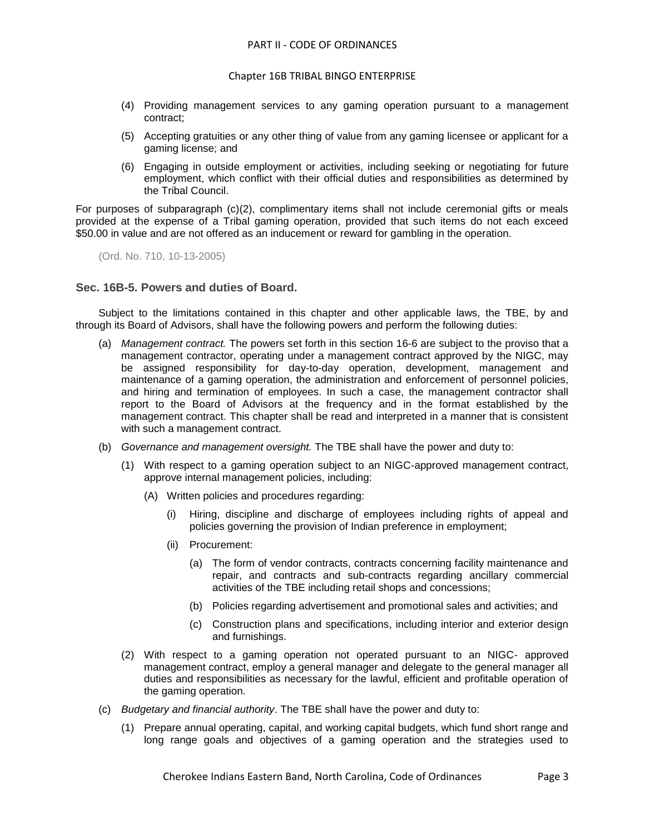#### Chapter 16B TRIBAL BINGO ENTERPRISE

- (4) Providing management services to any gaming operation pursuant to a management contract;
- (5) Accepting gratuities or any other thing of value from any gaming licensee or applicant for a gaming license; and
- (6) Engaging in outside employment or activities, including seeking or negotiating for future employment, which conflict with their official duties and responsibilities as determined by the Tribal Council.

For purposes of subparagraph (c)(2), complimentary items shall not include ceremonial gifts or meals provided at the expense of a Tribal gaming operation, provided that such items do not each exceed \$50.00 in value and are not offered as an inducement or reward for gambling in the operation.

(Ord. No. 710, 10-13-2005)

## <span id="page-2-0"></span>**Sec. 16B-5. Powers and duties of Board.**

Subject to the limitations contained in this chapter and other applicable laws, the TBE, by and through its Board of Advisors, shall have the following powers and perform the following duties:

- (a) *Management contract.* The powers set forth in this section 16-6 are subject to the proviso that a management contractor, operating under a management contract approved by the NIGC, may be assigned responsibility for day-to-day operation, development, management and maintenance of a gaming operation, the administration and enforcement of personnel policies, and hiring and termination of employees. In such a case, the management contractor shall report to the Board of Advisors at the frequency and in the format established by the management contract. This chapter shall be read and interpreted in a manner that is consistent with such a management contract.
- (b) *Governance and management oversight.* The TBE shall have the power and duty to:
	- (1) With respect to a gaming operation subject to an NIGC-approved management contract, approve internal management policies, including:
		- (A) Written policies and procedures regarding:
			- (i) Hiring, discipline and discharge of employees including rights of appeal and policies governing the provision of Indian preference in employment;
			- (ii) Procurement:
				- (a) The form of vendor contracts, contracts concerning facility maintenance and repair, and contracts and sub-contracts regarding ancillary commercial activities of the TBE including retail shops and concessions;
				- (b) Policies regarding advertisement and promotional sales and activities; and
				- (c) Construction plans and specifications, including interior and exterior design and furnishings.
	- (2) With respect to a gaming operation not operated pursuant to an NIGC- approved management contract, employ a general manager and delegate to the general manager all duties and responsibilities as necessary for the lawful, efficient and profitable operation of the gaming operation.
- (c) *Budgetary and financial authority*. The TBE shall have the power and duty to:
	- (1) Prepare annual operating, capital, and working capital budgets, which fund short range and long range goals and objectives of a gaming operation and the strategies used to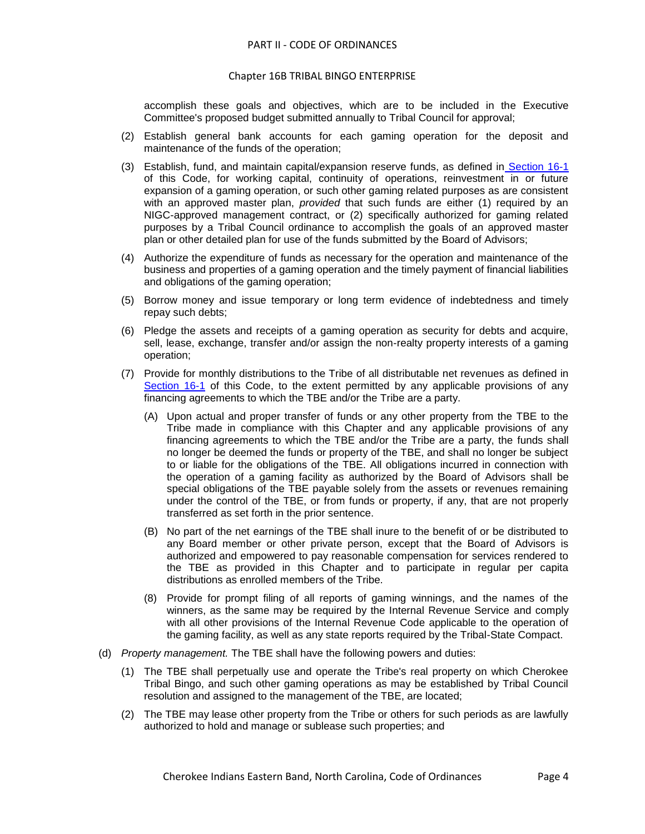accomplish these goals and objectives, which are to be included in the Executive Committee's proposed budget submitted annually to Tribal Council for approval;

- (2) Establish general bank accounts for each gaming operation for the deposit and maintenance of the funds of the operation;
- (3) Establish, fund, and maintain capital/expansion reserve funds, as defined in [Section 16-1](../level3/PTIICOOR_CH16TRGA_ARTIINGE.docx#PTIICOOR_CH16TRGA_ARTIINGE_S16-1DE) of this Code, for working capital, continuity of operations, reinvestment in or future expansion of a gaming operation, or such other gaming related purposes as are consistent with an approved master plan, *provided* that such funds are either (1) required by an NIGC-approved management contract, or (2) specifically authorized for gaming related purposes by a Tribal Council ordinance to accomplish the goals of an approved master plan or other detailed plan for use of the funds submitted by the Board of Advisors;
- (4) Authorize the expenditure of funds as necessary for the operation and maintenance of the business and properties of a gaming operation and the timely payment of financial liabilities and obligations of the gaming operation;
- (5) Borrow money and issue temporary or long term evidence of indebtedness and timely repay such debts;
- (6) Pledge the assets and receipts of a gaming operation as security for debts and acquire, sell, lease, exchange, transfer and/or assign the non-realty property interests of a gaming operation;
- (7) Provide for monthly distributions to the Tribe of all distributable net revenues as defined i[n](../level3/PTIICOOR_CH16TRGA_ARTIINGE.docx#PTIICOOR_CH16TRGA_ARTIINGE_S16-1DE) [Section 16-1](../level3/PTIICOOR_CH16TRGA_ARTIINGE.docx#PTIICOOR_CH16TRGA_ARTIINGE_S16-1DE) of this Code, to the extent permitted by any applicable provisions of any financing agreements to which the TBE and/or the Tribe are a party.
	- (A) Upon actual and proper transfer of funds or any other property from the TBE to the Tribe made in compliance with this Chapter and any applicable provisions of any financing agreements to which the TBE and/or the Tribe are a party, the funds shall no longer be deemed the funds or property of the TBE, and shall no longer be subject to or liable for the obligations of the TBE. All obligations incurred in connection with the operation of a gaming facility as authorized by the Board of Advisors shall be special obligations of the TBE payable solely from the assets or revenues remaining under the control of the TBE, or from funds or property, if any, that are not properly transferred as set forth in the prior sentence.
	- (B) No part of the net earnings of the TBE shall inure to the benefit of or be distributed to any Board member or other private person, except that the Board of Advisors is authorized and empowered to pay reasonable compensation for services rendered to the TBE as provided in this Chapter and to participate in regular per capita distributions as enrolled members of the Tribe.
	- (8) Provide for prompt filing of all reports of gaming winnings, and the names of the winners, as the same may be required by the Internal Revenue Service and comply with all other provisions of the Internal Revenue Code applicable to the operation of the gaming facility, as well as any state reports required by the Tribal-State Compact.
- (d) *Property management.* The TBE shall have the following powers and duties:
	- (1) The TBE shall perpetually use and operate the Tribe's real property on which Cherokee Tribal Bingo, and such other gaming operations as may be established by Tribal Council resolution and assigned to the management of the TBE, are located;
	- (2) The TBE may lease other property from the Tribe or others for such periods as are lawfully authorized to hold and manage or sublease such properties; and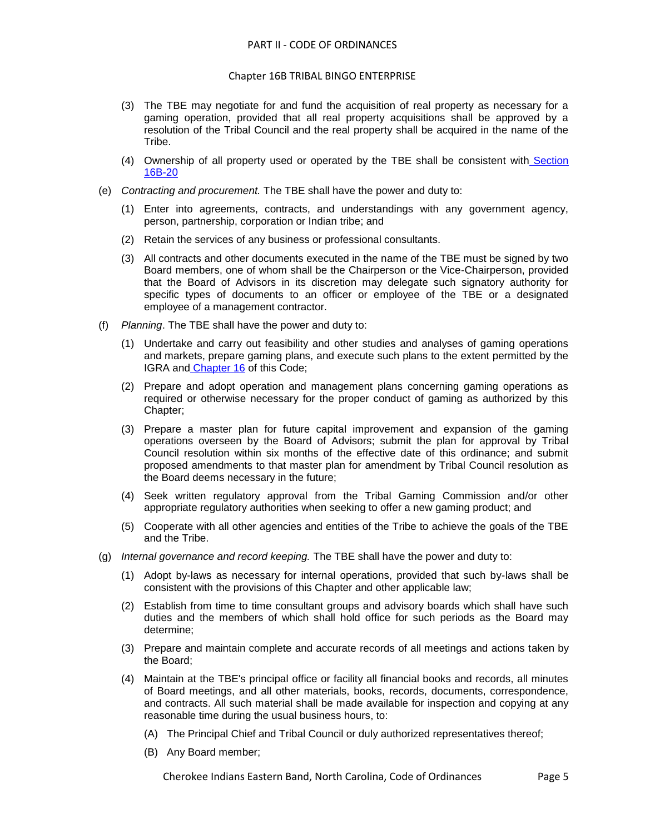#### Chapter 16B TRIBAL BINGO ENTERPRISE

- (3) The TBE may negotiate for and fund the acquisition of real property as necessary for a gaming operation, provided that all real property acquisitions shall be approved by a resolution of the Tribal Council and the real property shall be acquired in the name of the Tribe.
- (4) Ownership of all property used or operated by the TBE shall be consistent with [Section](../level2/PTIICOOR_CH16BTRBIEN.docx#PTIICOOR_CH16BTRBIEN_S16B-20OWPR)  [16B-20](../level2/PTIICOOR_CH16BTRBIEN.docx#PTIICOOR_CH16BTRBIEN_S16B-20OWPR)
- (e) *Contracting and procurement.* The TBE shall have the power and duty to:
	- (1) Enter into agreements, contracts, and understandings with any government agency, person, partnership, corporation or Indian tribe; and
	- (2) Retain the services of any business or professional consultants.
	- (3) All contracts and other documents executed in the name of the TBE must be signed by two Board members, one of whom shall be the Chairperson or the Vice-Chairperson, provided that the Board of Advisors in its discretion may delegate such signatory authority for specific types of documents to an officer or employee of the TBE or a designated employee of a management contractor.
- (f) *Planning*. The TBE shall have the power and duty to:
	- (1) Undertake and carry out feasibility and other studies and analyses of gaming operations and markets, prepare gaming plans, and execute such plans to the extent permitted by the IGRA and [Chapter 16](../level2/PTIICOOR_CH16TRGA.docx#PTIICOOR_CH16TRGA) of this Code;
	- (2) Prepare and adopt operation and management plans concerning gaming operations as required or otherwise necessary for the proper conduct of gaming as authorized by this Chapter;
	- (3) Prepare a master plan for future capital improvement and expansion of the gaming operations overseen by the Board of Advisors; submit the plan for approval by Tribal Council resolution within six months of the effective date of this ordinance; and submit proposed amendments to that master plan for amendment by Tribal Council resolution as the Board deems necessary in the future;
	- (4) Seek written regulatory approval from the Tribal Gaming Commission and/or other appropriate regulatory authorities when seeking to offer a new gaming product; and
	- (5) Cooperate with all other agencies and entities of the Tribe to achieve the goals of the TBE and the Tribe.
- (g) *Internal governance and record keeping.* The TBE shall have the power and duty to:
	- (1) Adopt by-laws as necessary for internal operations, provided that such by-laws shall be consistent with the provisions of this Chapter and other applicable law;
	- (2) Establish from time to time consultant groups and advisory boards which shall have such duties and the members of which shall hold office for such periods as the Board may determine;
	- (3) Prepare and maintain complete and accurate records of all meetings and actions taken by the Board;
	- (4) Maintain at the TBE's principal office or facility all financial books and records, all minutes of Board meetings, and all other materials, books, records, documents, correspondence, and contracts. All such material shall be made available for inspection and copying at any reasonable time during the usual business hours, to:
		- (A) The Principal Chief and Tribal Council or duly authorized representatives thereof;
		- (B) Any Board member;

Cherokee Indians Eastern Band, North Carolina, Code of Ordinances Page 5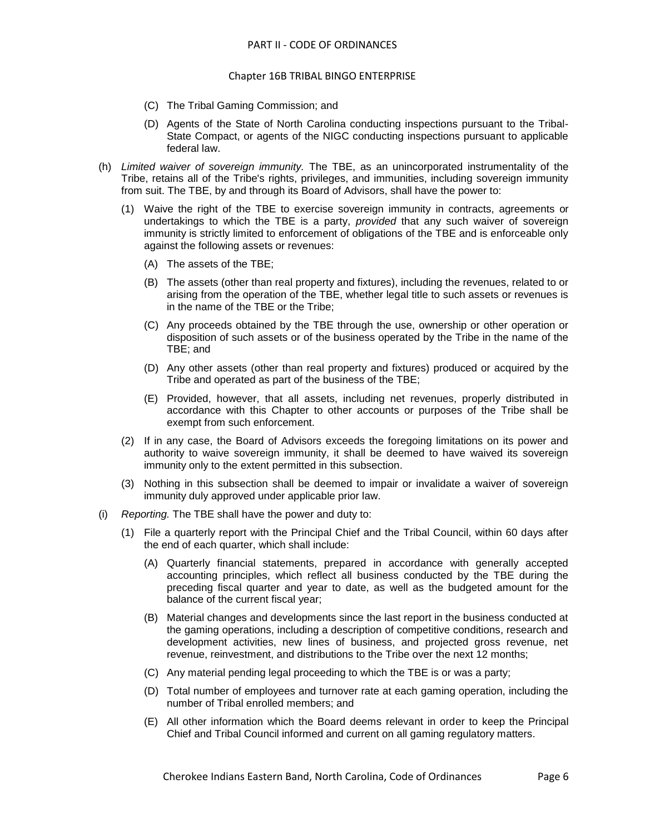#### Chapter 16B TRIBAL BINGO ENTERPRISE

- (C) The Tribal Gaming Commission; and
- (D) Agents of the State of North Carolina conducting inspections pursuant to the Tribal-State Compact, or agents of the NIGC conducting inspections pursuant to applicable federal law.
- (h) *Limited waiver of sovereign immunity.* The TBE, as an unincorporated instrumentality of the Tribe, retains all of the Tribe's rights, privileges, and immunities, including sovereign immunity from suit. The TBE, by and through its Board of Advisors, shall have the power to:
	- (1) Waive the right of the TBE to exercise sovereign immunity in contracts, agreements or undertakings to which the TBE is a party, *provided* that any such waiver of sovereign immunity is strictly limited to enforcement of obligations of the TBE and is enforceable only against the following assets or revenues:
		- (A) The assets of the TBE;
		- (B) The assets (other than real property and fixtures), including the revenues, related to or arising from the operation of the TBE, whether legal title to such assets or revenues is in the name of the TBE or the Tribe;
		- (C) Any proceeds obtained by the TBE through the use, ownership or other operation or disposition of such assets or of the business operated by the Tribe in the name of the TBE; and
		- (D) Any other assets (other than real property and fixtures) produced or acquired by the Tribe and operated as part of the business of the TBE;
		- (E) Provided, however, that all assets, including net revenues, properly distributed in accordance with this Chapter to other accounts or purposes of the Tribe shall be exempt from such enforcement.
	- (2) If in any case, the Board of Advisors exceeds the foregoing limitations on its power and authority to waive sovereign immunity, it shall be deemed to have waived its sovereign immunity only to the extent permitted in this subsection.
	- (3) Nothing in this subsection shall be deemed to impair or invalidate a waiver of sovereign immunity duly approved under applicable prior law.
- (i) *Reporting.* The TBE shall have the power and duty to:
	- (1) File a quarterly report with the Principal Chief and the Tribal Council, within 60 days after the end of each quarter, which shall include:
		- (A) Quarterly financial statements, prepared in accordance with generally accepted accounting principles, which reflect all business conducted by the TBE during the preceding fiscal quarter and year to date, as well as the budgeted amount for the balance of the current fiscal year;
		- (B) Material changes and developments since the last report in the business conducted at the gaming operations, including a description of competitive conditions, research and development activities, new lines of business, and projected gross revenue, net revenue, reinvestment, and distributions to the Tribe over the next 12 months;
		- (C) Any material pending legal proceeding to which the TBE is or was a party;
		- (D) Total number of employees and turnover rate at each gaming operation, including the number of Tribal enrolled members; and
		- (E) All other information which the Board deems relevant in order to keep the Principal Chief and Tribal Council informed and current on all gaming regulatory matters.

Cherokee Indians Eastern Band, North Carolina, Code of Ordinances Page 6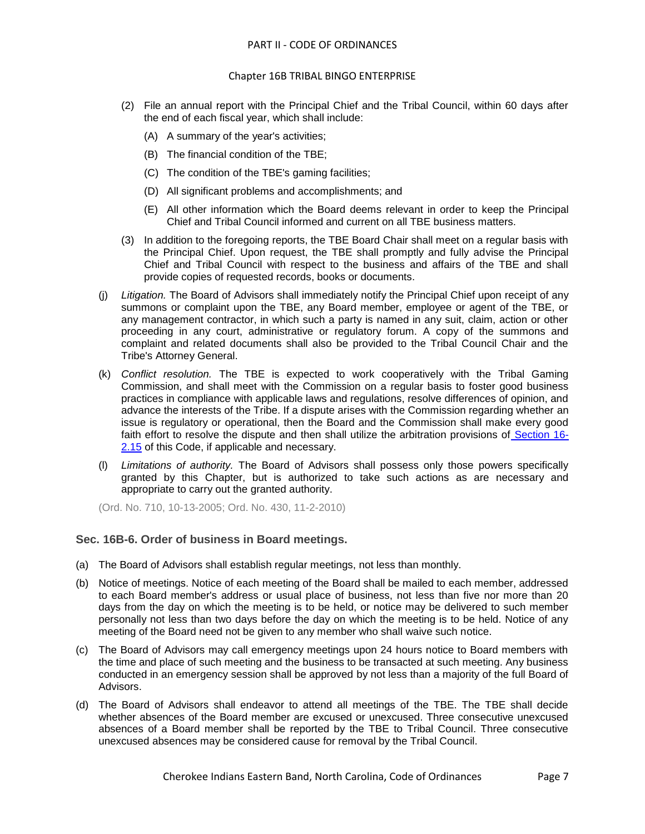#### Chapter 16B TRIBAL BINGO ENTERPRISE

- (2) File an annual report with the Principal Chief and the Tribal Council, within 60 days after the end of each fiscal year, which shall include:
	- (A) A summary of the year's activities;
	- (B) The financial condition of the TBE;
	- (C) The condition of the TBE's gaming facilities;
	- (D) All significant problems and accomplishments; and
	- (E) All other information which the Board deems relevant in order to keep the Principal Chief and Tribal Council informed and current on all TBE business matters.
- (3) In addition to the foregoing reports, the TBE Board Chair shall meet on a regular basis with the Principal Chief. Upon request, the TBE shall promptly and fully advise the Principal Chief and Tribal Council with respect to the business and affairs of the TBE and shall provide copies of requested records, books or documents.
- (j) *Litigation.* The Board of Advisors shall immediately notify the Principal Chief upon receipt of any summons or complaint upon the TBE, any Board member, employee or agent of the TBE, or any management contractor, in which such a party is named in any suit, claim, action or other proceeding in any court, administrative or regulatory forum. A copy of the summons and complaint and related documents shall also be provided to the Tribal Council Chair and the Tribe's Attorney General.
- (k) *Conflict resolution.* The TBE is expected to work cooperatively with the Tribal Gaming Commission, and shall meet with the Commission on a regular basis to foster good business practices in compliance with applicable laws and regulations, resolve differences of opinion, and advance the interests of the Tribe. If a dispute arises with the Commission regarding whether an issue is regulatory or operational, then the Board and the Commission shall make every good faith effort to resolve the dispute and then shall utilize the arbitration provisions of [Section 16-](../level3/PTIICOOR_CH16TRGA_ARTII._TRIBAL_GAMING_COMMISSION.docx#PTIICOOR_CH16TRGA_ARTII._TRIBAL_GAMING_COMMISSION_S16-2.15PRGARURE) [2.15](../level3/PTIICOOR_CH16TRGA_ARTII._TRIBAL_GAMING_COMMISSION.docx#PTIICOOR_CH16TRGA_ARTII._TRIBAL_GAMING_COMMISSION_S16-2.15PRGARURE) of this Code, if applicable and necessary.
- (l) *Limitations of authority.* The Board of Advisors shall possess only those powers specifically granted by this Chapter, but is authorized to take such actions as are necessary and appropriate to carry out the granted authority.

(Ord. No. 710, 10-13-2005; Ord. No. 430, 11-2-2010)

# <span id="page-6-0"></span>**Sec. 16B-6. Order of business in Board meetings.**

- (a) The Board of Advisors shall establish regular meetings, not less than monthly.
- (b) Notice of meetings. Notice of each meeting of the Board shall be mailed to each member, addressed to each Board member's address or usual place of business, not less than five nor more than 20 days from the day on which the meeting is to be held, or notice may be delivered to such member personally not less than two days before the day on which the meeting is to be held. Notice of any meeting of the Board need not be given to any member who shall waive such notice.
- (c) The Board of Advisors may call emergency meetings upon 24 hours notice to Board members with the time and place of such meeting and the business to be transacted at such meeting. Any business conducted in an emergency session shall be approved by not less than a majority of the full Board of Advisors.
- (d) The Board of Advisors shall endeavor to attend all meetings of the TBE. The TBE shall decide whether absences of the Board member are excused or unexcused. Three consecutive unexcused absences of a Board member shall be reported by the TBE to Tribal Council. Three consecutive unexcused absences may be considered cause for removal by the Tribal Council.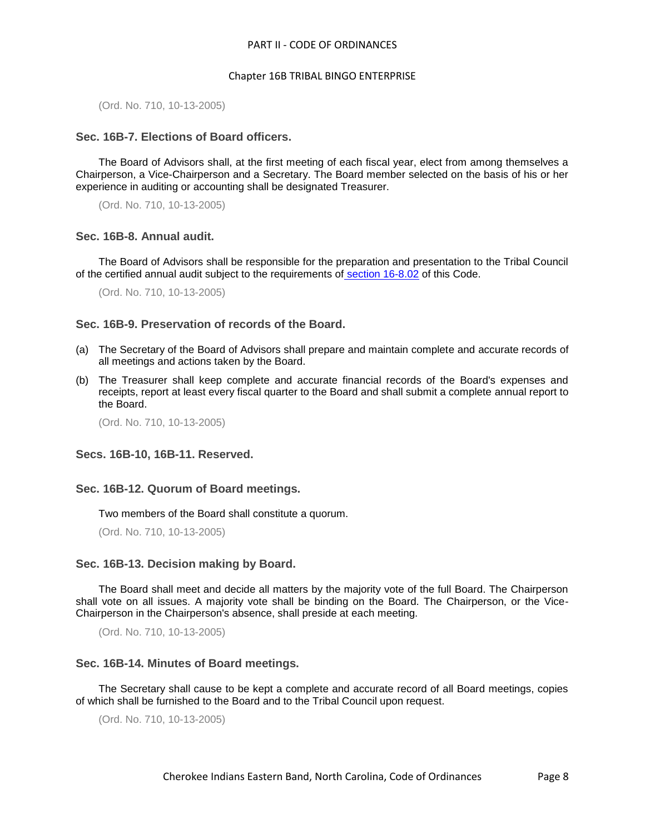(Ord. No. 710, 10-13-2005)

# <span id="page-7-0"></span>**Sec. 16B-7. Elections of Board officers.**

The Board of Advisors shall, at the first meeting of each fiscal year, elect from among themselves a Chairperson, a Vice-Chairperson and a Secretary. The Board member selected on the basis of his or her experience in auditing or accounting shall be designated Treasurer.

(Ord. No. 710, 10-13-2005)

## <span id="page-7-1"></span>**Sec. 16B-8. Annual audit.**

The Board of Advisors shall be responsible for the preparation and presentation to the Tribal Council of the certified annual audit subject to the requirements of [section 16-8.02](../level3/PTIICOOR_CH16TRGA_ARTVIIIAUINCO.docx#PTIICOOR_CH16TRGA_ARTVIIIAUINCO_S16-8.02ANINAU) of this Code.

(Ord. No. 710, 10-13-2005)

# <span id="page-7-2"></span>**Sec. 16B-9. Preservation of records of the Board.**

- (a) The Secretary of the Board of Advisors shall prepare and maintain complete and accurate records of all meetings and actions taken by the Board.
- (b) The Treasurer shall keep complete and accurate financial records of the Board's expenses and receipts, report at least every fiscal quarter to the Board and shall submit a complete annual report to the Board.

(Ord. No. 710, 10-13-2005)

# <span id="page-7-3"></span>**Secs. 16B-10, 16B-11. Reserved.**

## <span id="page-7-4"></span>**Sec. 16B-12. Quorum of Board meetings.**

Two members of the Board shall constitute a quorum.

(Ord. No. 710, 10-13-2005)

## <span id="page-7-5"></span>**Sec. 16B-13. Decision making by Board.**

The Board shall meet and decide all matters by the majority vote of the full Board. The Chairperson shall vote on all issues. A majority vote shall be binding on the Board. The Chairperson, or the Vice-Chairperson in the Chairperson's absence, shall preside at each meeting.

(Ord. No. 710, 10-13-2005)

## <span id="page-7-6"></span>**Sec. 16B-14. Minutes of Board meetings.**

The Secretary shall cause to be kept a complete and accurate record of all Board meetings, copies of which shall be furnished to the Board and to the Tribal Council upon request.

(Ord. No. 710, 10-13-2005)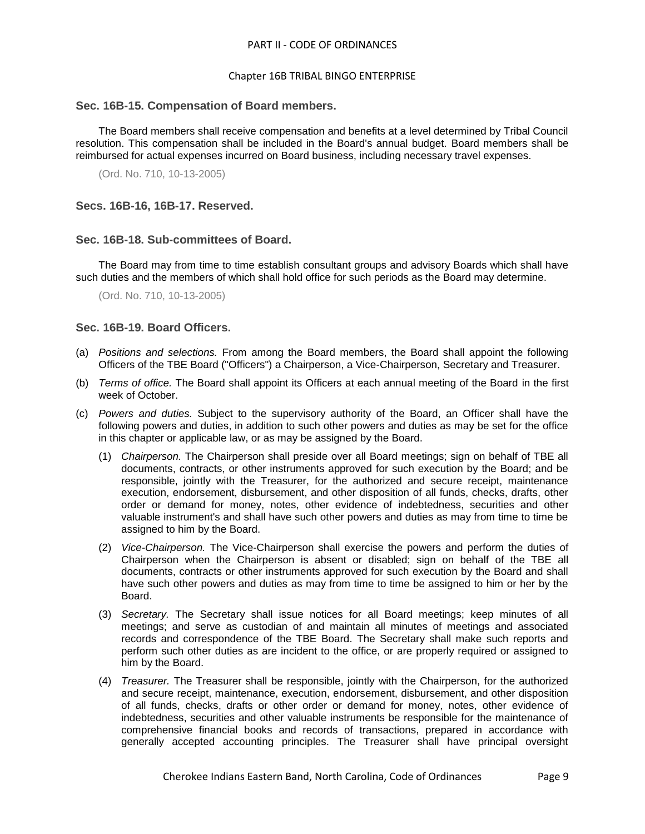#### Chapter 16B TRIBAL BINGO ENTERPRISE

#### <span id="page-8-0"></span>**Sec. 16B-15. Compensation of Board members.**

The Board members shall receive compensation and benefits at a level determined by Tribal Council resolution. This compensation shall be included in the Board's annual budget. Board members shall be reimbursed for actual expenses incurred on Board business, including necessary travel expenses.

(Ord. No. 710, 10-13-2005)

<span id="page-8-1"></span>**Secs. 16B-16, 16B-17. Reserved.**

#### <span id="page-8-2"></span>**Sec. 16B-18. Sub-committees of Board.**

The Board may from time to time establish consultant groups and advisory Boards which shall have such duties and the members of which shall hold office for such periods as the Board may determine.

(Ord. No. 710, 10-13-2005)

# <span id="page-8-3"></span>**Sec. 16B-19. Board Officers.**

- (a) *Positions and selections.* From among the Board members, the Board shall appoint the following Officers of the TBE Board ("Officers") a Chairperson, a Vice-Chairperson, Secretary and Treasurer.
- (b) *Terms of office.* The Board shall appoint its Officers at each annual meeting of the Board in the first week of October.
- (c) *Powers and duties.* Subject to the supervisory authority of the Board, an Officer shall have the following powers and duties, in addition to such other powers and duties as may be set for the office in this chapter or applicable law, or as may be assigned by the Board.
	- (1) *Chairperson.* The Chairperson shall preside over all Board meetings; sign on behalf of TBE all documents, contracts, or other instruments approved for such execution by the Board; and be responsible, jointly with the Treasurer, for the authorized and secure receipt, maintenance execution, endorsement, disbursement, and other disposition of all funds, checks, drafts, other order or demand for money, notes, other evidence of indebtedness, securities and other valuable instrument's and shall have such other powers and duties as may from time to time be assigned to him by the Board.
	- (2) *Vice-Chairperson.* The Vice-Chairperson shall exercise the powers and perform the duties of Chairperson when the Chairperson is absent or disabled; sign on behalf of the TBE all documents, contracts or other instruments approved for such execution by the Board and shall have such other powers and duties as may from time to time be assigned to him or her by the Board.
	- (3) *Secretary.* The Secretary shall issue notices for all Board meetings; keep minutes of all meetings; and serve as custodian of and maintain all minutes of meetings and associated records and correspondence of the TBE Board. The Secretary shall make such reports and perform such other duties as are incident to the office, or are properly required or assigned to him by the Board.
	- (4) *Treasurer.* The Treasurer shall be responsible, jointly with the Chairperson, for the authorized and secure receipt, maintenance, execution, endorsement, disbursement, and other disposition of all funds, checks, drafts or other order or demand for money, notes, other evidence of indebtedness, securities and other valuable instruments be responsible for the maintenance of comprehensive financial books and records of transactions, prepared in accordance with generally accepted accounting principles. The Treasurer shall have principal oversight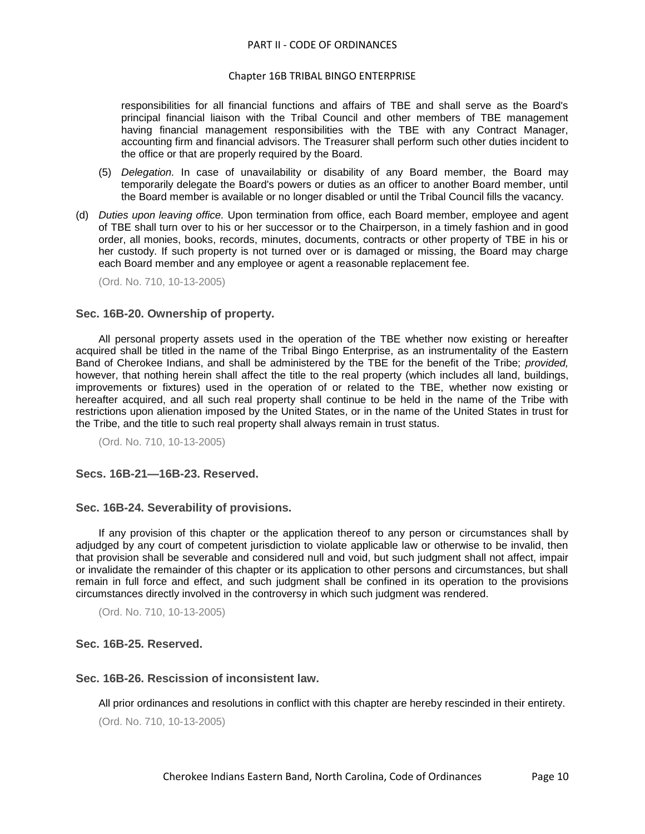#### Chapter 16B TRIBAL BINGO ENTERPRISE

responsibilities for all financial functions and affairs of TBE and shall serve as the Board's principal financial liaison with the Tribal Council and other members of TBE management having financial management responsibilities with the TBE with any Contract Manager, accounting firm and financial advisors. The Treasurer shall perform such other duties incident to the office or that are properly required by the Board.

- (5) *Delegation.* In case of unavailability or disability of any Board member, the Board may temporarily delegate the Board's powers or duties as an officer to another Board member, until the Board member is available or no longer disabled or until the Tribal Council fills the vacancy.
- (d) *Duties upon leaving office.* Upon termination from office, each Board member, employee and agent of TBE shall turn over to his or her successor or to the Chairperson, in a timely fashion and in good order, all monies, books, records, minutes, documents, contracts or other property of TBE in his or her custody. If such property is not turned over or is damaged or missing, the Board may charge each Board member and any employee or agent a reasonable replacement fee.

(Ord. No. 710, 10-13-2005)

## <span id="page-9-0"></span>**Sec. 16B-20. Ownership of property.**

All personal property assets used in the operation of the TBE whether now existing or hereafter acquired shall be titled in the name of the Tribal Bingo Enterprise, as an instrumentality of the Eastern Band of Cherokee Indians, and shall be administered by the TBE for the benefit of the Tribe; *provided,* however, that nothing herein shall affect the title to the real property (which includes all land, buildings, improvements or fixtures) used in the operation of or related to the TBE, whether now existing or hereafter acquired, and all such real property shall continue to be held in the name of the Tribe with restrictions upon alienation imposed by the United States, or in the name of the United States in trust for the Tribe, and the title to such real property shall always remain in trust status.

(Ord. No. 710, 10-13-2005)

# <span id="page-9-1"></span>**Secs. 16B-21—16B-23. Reserved.**

## <span id="page-9-2"></span>**Sec. 16B-24. Severability of provisions.**

If any provision of this chapter or the application thereof to any person or circumstances shall by adjudged by any court of competent jurisdiction to violate applicable law or otherwise to be invalid, then that provision shall be severable and considered null and void, but such judgment shall not affect, impair or invalidate the remainder of this chapter or its application to other persons and circumstances, but shall remain in full force and effect, and such judgment shall be confined in its operation to the provisions circumstances directly involved in the controversy in which such judgment was rendered.

(Ord. No. 710, 10-13-2005)

## <span id="page-9-3"></span>**Sec. 16B-25. Reserved.**

## <span id="page-9-4"></span>**Sec. 16B-26. Rescission of inconsistent law.**

All prior ordinances and resolutions in conflict with this chapter are hereby rescinded in their entirety.

(Ord. No. 710, 10-13-2005)